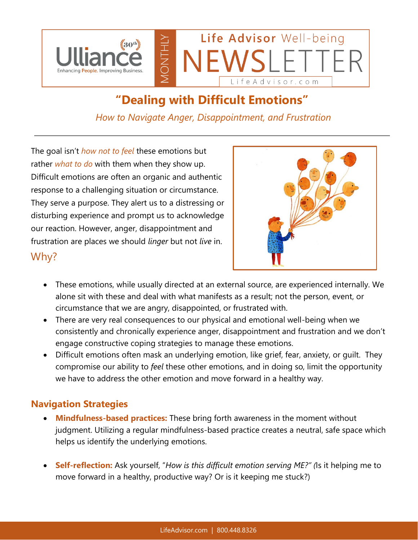

## **"Dealing with Difficult Emotions"**

*How to Navigate Anger, Disappointment, and Frustration*

The goal isn't *how not to feel* these emotions but rather *what to do* with them when they show up. Difficult emotions are often an organic and authentic response to a challenging situation or circumstance. They serve a purpose. They alert us to a distressing or disturbing experience and prompt us to acknowledge our reaction. However, anger, disappointment and frustration are places we should *linger* but not *live* in. Why?



- These emotions, while usually directed at an external source, are experienced internally. We alone sit with these and deal with what manifests as a result; not the person, event, or circumstance that we are angry, disappointed, or frustrated with.
- There are very real consequences to our physical and emotional well-being when we consistently and chronically experience anger, disappointment and frustration and we don't engage constructive coping strategies to manage these emotions.
- Difficult emotions often mask an underlying emotion, like grief, fear, anxiety, or guilt. They compromise our ability to *feel* these other emotions, and in doing so, limit the opportunity we have to address the other emotion and move forward in a healthy way.

## **Navigation Strategies**

- **Mindfulness-based practices:** These bring forth awareness in the moment without judgment. Utilizing a regular mindfulness-based practice creates a neutral, safe space which helps us identify the underlying emotions.
- **Self-reflection:** Ask yourself, "*How is this difficult emotion serving ME?" (*Is it helping me to move forward in a healthy, productive way? Or is it keeping me stuck?)